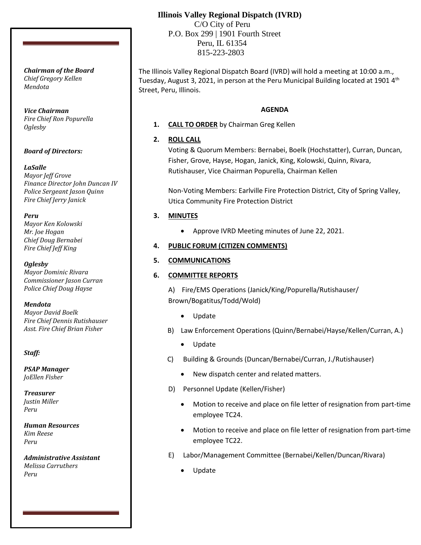# **Illinois Valley Regional Dispatch (IVRD)**

 C/O City of Peru P.O. Box 299 | 1901 Fourth Street Peru, IL 61354 815-223-2803

The Illinois Valley Regional Dispatch Board (IVRD) will hold a meeting at 10:00 a.m., Tuesday, August 3, 2021, in person at the Peru Municipal Building located at 1901  $4<sup>th</sup>$ Street, Peru, Illinois.

#### **AGENDA**

**1. CALL TO ORDER** by Chairman Greg Kellen

# **2. ROLL CALL**

Voting & Quorum Members: Bernabei, Boelk (Hochstatter), Curran, Duncan, Fisher, Grove, Hayse, Hogan, Janick, King, Kolowski, Quinn, Rivara, Rutishauser, Vice Chairman Popurella, Chairman Kellen

Non-Voting Members: Earlville Fire Protection District, City of Spring Valley, Utica Community Fire Protection District

## **3. MINUTES**

• Approve IVRD Meeting minutes of June 22, 2021.

## **4. PUBLIC FORUM (CITIZEN COMMENTS)**

## **5. COMMUNICATIONS**

# **6. COMMITTEE REPORTS**

A) Fire/EMS Operations (Janick/King/Popurella/Rutishauser/ Brown/Bogatitus/Todd/Wold)

- Update
- B) Law Enforcement Operations (Quinn/Bernabei/Hayse/Kellen/Curran, A.)
	- Update
- C) Building & Grounds (Duncan/Bernabei/Curran, J./Rutishauser)
	- New dispatch center and related matters.
- D) Personnel Update (Kellen/Fisher)
	- Motion to receive and place on file letter of resignation from part-time employee TC24.
	- Motion to receive and place on file letter of resignation from part-time employee TC22.
- E) Labor/Management Committee (Bernabei/Kellen/Duncan/Rivara)
	- Update

*Chairman of the Board Chief Gregory Kellen Mendota*

*Vice Chairman Fire Chief Ron Popurella Oglesby*

## *Board of Directors:*

## *LaSalle*

*Mayor Jeff Grove Finance Director John Duncan IV Police Sergeant Jason Quinn Fire Chief Jerry Janick*

## *Peru*

*Mayor Ken Kolowski Mr. Joe Hogan Chief Doug Bernabei Fire Chief Jeff King*

*Oglesby Mayor Dominic Rivara Commissioner Jason Curran Police Chief Doug Hayse*

*Mendota*

*Mayor David Boelk Fire Chief Dennis Rutishauser Asst. Fire Chief Brian Fisher*

*Staff:*

*PSAP Manager JoEllen Fisher*

*Treasurer Justin Miller Peru*

*Human Resources Kim Reese Peru*

*Administrative Assistant Melissa Carruthers Peru*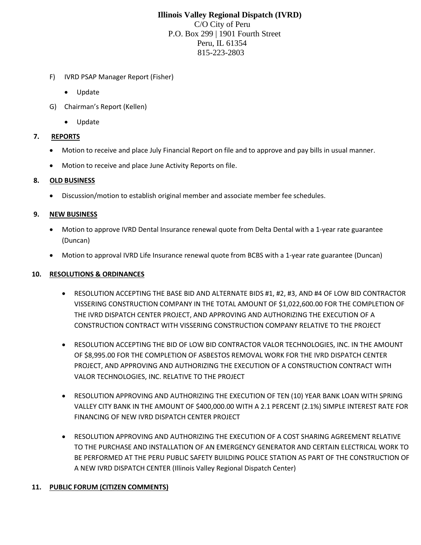# **Illinois Valley Regional Dispatch (IVRD)** C/O City of Peru P.O. Box 299 | 1901 Fourth Street Peru, IL 61354 815-223-2803

- F) IVRD PSAP Manager Report (Fisher)
	- Update
- G) Chairman's Report (Kellen)
	- Update

#### **7. REPORTS**

- Motion to receive and place July Financial Report on file and to approve and pay bills in usual manner.
- Motion to receive and place June Activity Reports on file.

#### **8. OLD BUSINESS**

• Discussion/motion to establish original member and associate member fee schedules.

### **9. NEW BUSINESS**

- Motion to approve IVRD Dental Insurance renewal quote from Delta Dental with a 1-year rate guarantee (Duncan)
- Motion to approval IVRD Life Insurance renewal quote from BCBS with a 1-year rate guarantee (Duncan)

### **10. RESOLUTIONS & ORDINANCES**

- RESOLUTION ACCEPTING THE BASE BID AND ALTERNATE BIDS #1, #2, #3, AND #4 OF LOW BID CONTRACTOR VISSERING CONSTRUCTION COMPANY IN THE TOTAL AMOUNT OF \$1,022,600.00 FOR THE COMPLETION OF THE IVRD DISPATCH CENTER PROJECT, AND APPROVING AND AUTHORIZING THE EXECUTION OF A CONSTRUCTION CONTRACT WITH VISSERING CONSTRUCTION COMPANY RELATIVE TO THE PROJECT
- RESOLUTION ACCEPTING THE BID OF LOW BID CONTRACTOR VALOR TECHNOLOGIES, INC. IN THE AMOUNT OF \$8,995.00 FOR THE COMPLETION OF ASBESTOS REMOVAL WORK FOR THE IVRD DISPATCH CENTER PROJECT, AND APPROVING AND AUTHORIZING THE EXECUTION OF A CONSTRUCTION CONTRACT WITH VALOR TECHNOLOGIES, INC. RELATIVE TO THE PROJECT
- RESOLUTION APPROVING AND AUTHORIZING THE EXECUTION OF TEN (10) YEAR BANK LOAN WITH SPRING VALLEY CITY BANK IN THE AMOUNT OF \$400,000.00 WITH A 2.1 PERCENT (2.1%) SIMPLE INTEREST RATE FOR FINANCING OF NEW IVRD DISPATCH CENTER PROJECT
- RESOLUTION APPROVING AND AUTHORIZING THE EXECUTION OF A COST SHARING AGREEMENT RELATIVE TO THE PURCHASE AND INSTALLATION OF AN EMERGENCY GENERATOR AND CERTAIN ELECTRICAL WORK TO BE PERFORMED AT THE PERU PUBLIC SAFETY BUILDING POLICE STATION AS PART OF THE CONSTRUCTION OF A NEW IVRD DISPATCH CENTER (Illinois Valley Regional Dispatch Center)

## **11. PUBLIC FORUM (CITIZEN COMMENTS)**